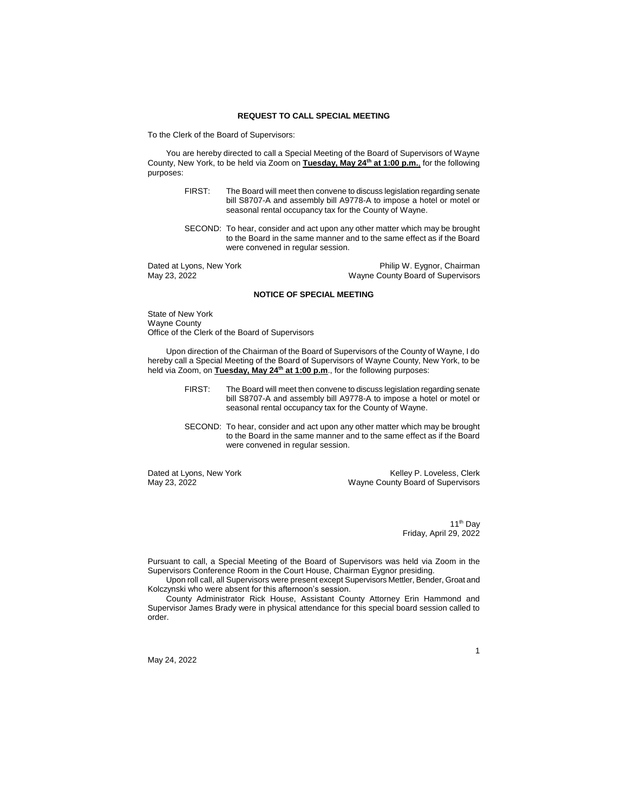## **REQUEST TO CALL SPECIAL MEETING**

To the Clerk of the Board of Supervisors:

You are hereby directed to call a Special Meeting of the Board of Supervisors of Wayne County, New York, to be held via Zoom on **Tuesday, May 24th at 1:00 p.m.**, for the following purposes:

- FIRST: The Board will meet then convene to discuss legislation regarding senate bill S8707-A and assembly bill A9778-A to impose a hotel or motel or seasonal rental occupancy tax for the County of Wayne.
- SECOND: To hear, consider and act upon any other matter which may be brought to the Board in the same manner and to the same effect as if the Board were convened in regular session.

Dated at Lyons, New York **Philip W. Eygnor, Chairman** May 23, 2022 Wayne County Board of Supervisors

## **NOTICE OF SPECIAL MEETING**

State of New York Wayne County Office of the Clerk of the Board of Supervisors

Upon direction of the Chairman of the Board of Supervisors of the County of Wayne, I do hereby call a Special Meeting of the Board of Supervisors of Wayne County, New York, to be held via Zoom, on **Tuesday, May 24th at 1:00 p.m**., for the following purposes:

- FIRST: The Board will meet then convene to discuss legislation regarding senate bill S8707-A and assembly bill A9778-A to impose a hotel or motel or seasonal rental occupancy tax for the County of Wayne.
- SECOND: To hear, consider and act upon any other matter which may be brought to the Board in the same manner and to the same effect as if the Board were convened in regular session.

Dated at Lyons, New York **Example 23, 2022**<br>May 23, 2022 May 23, 2022 Wayne County Board of Supervisors

> 11<sup>th</sup> Dav Friday, April 29, 2022

Pursuant to call, a Special Meeting of the Board of Supervisors was held via Zoom in the Supervisors Conference Room in the Court House, Chairman Eygnor presiding.

Upon roll call, all Supervisors were present except Supervisors Mettler, Bender, Groat and Kolczynski who were absent for this afternoon's session.

County Administrator Rick House, Assistant County Attorney Erin Hammond and Supervisor James Brady were in physical attendance for this special board session called to order.

May 24, 2022

1